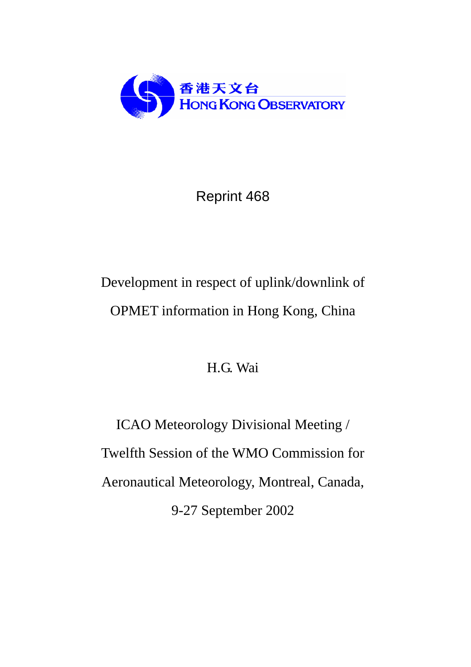

# Reprint 468

# Development in respect of uplink/downlink of OPMET information in Hong Kong, China

# H.G. Wai

ICAO Meteorology Divisional Meeting / Twelfth Session of the WMO Commission for Aeronautical Meteorology, Montreal, Canada, 9-27 September 2002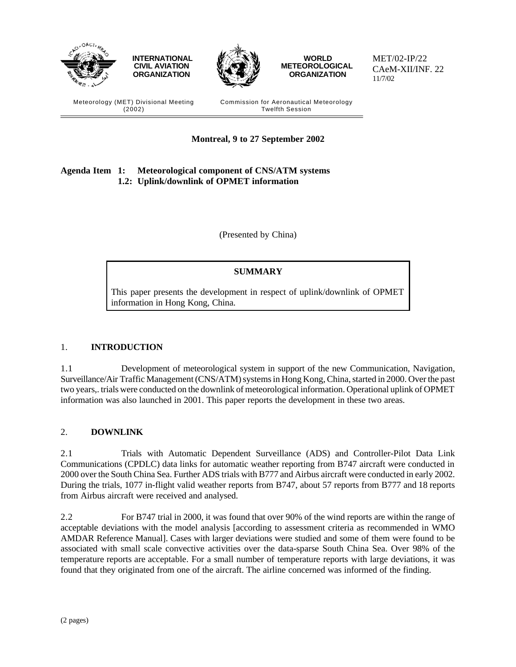

# **Agenda Item 1: Meteorological component of CNS/ATM systems 1.2: Uplink/downlink of OPMET information**

(Presented by China)

**Montreal, 9 to 27 September 2002**

# **SUMMARY**

This paper presents the development in respect of uplink/downlink of OPMET information in Hong Kong, China.

## 1. **INTRODUCTION**

1.1 Development of meteorological system in support of the new Communication, Navigation, Surveillance/Air Traffic Management (CNS/ATM) systems in Hong Kong, China, started in 2000. Over the past two years,. trials were conducted on the downlink of meteorological information. Operational uplink of OPMET information was also launched in 2001. This paper reports the development in these two areas.

## 2. **DOWNLINK**

2.1 Trials with Automatic Dependent Surveillance (ADS) and Controller-Pilot Data Link Communications (CPDLC) data links for automatic weather reporting from B747 aircraft were conducted in 2000 over the South China Sea. Further ADS trials with B777 and Airbus aircraft were conducted in early 2002. During the trials, 1077 in-flight valid weather reports from B747, about 57 reports from B777 and 18 reports from Airbus aircraft were received and analysed.

2.2 For B747 trial in 2000, it was found that over 90% of the wind reports are within the range of acceptable deviations with the model analysis [according to assessment criteria as recommended in WMO AMDAR Reference Manual]. Cases with larger deviations were studied and some of them were found to be associated with small scale convective activities over the data-sparse South China Sea. Over 98% of the temperature reports are acceptable. For a small number of temperature reports with large deviations, it was found that they originated from one of the aircraft. The airline concerned was informed of the finding.